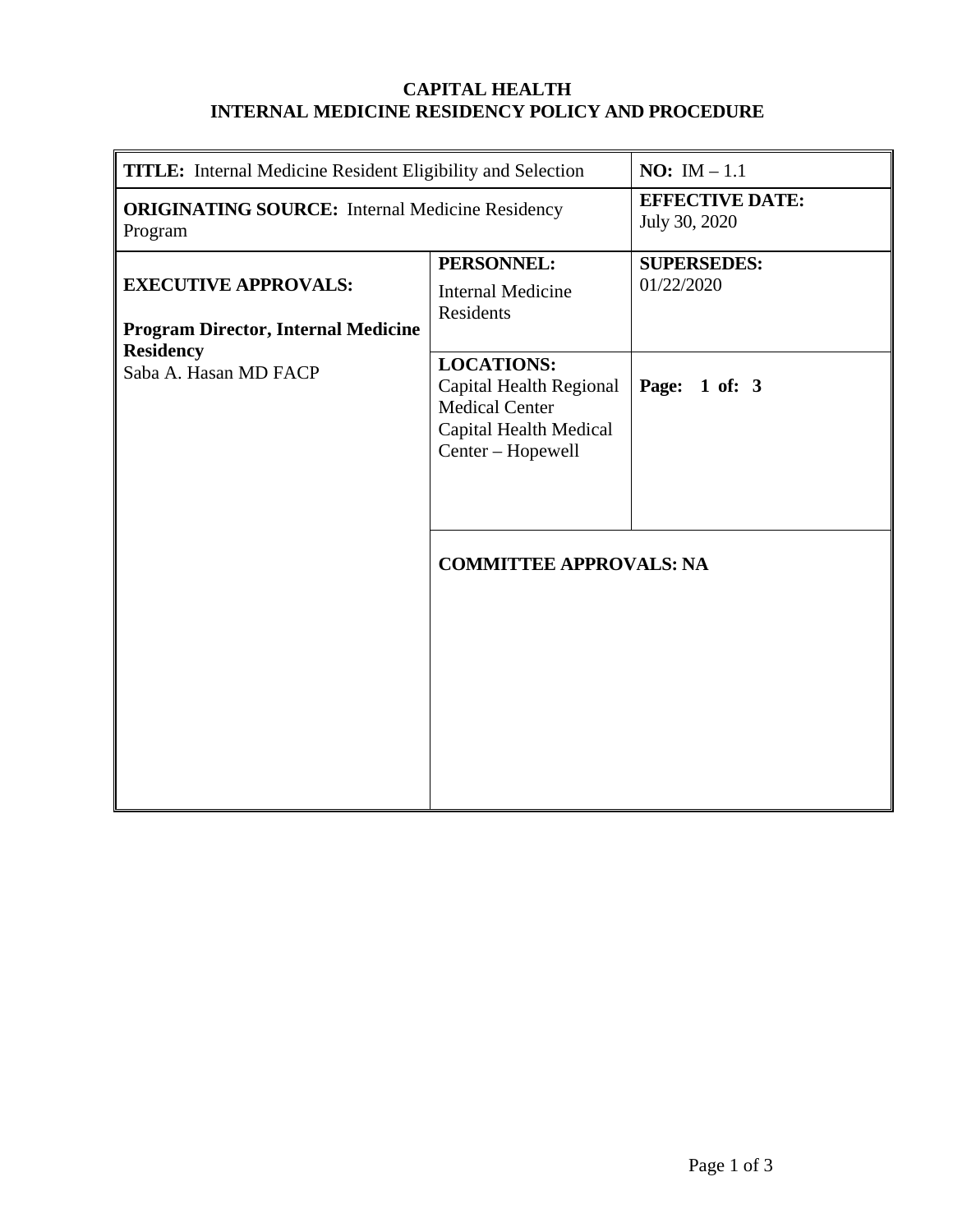### **CAPITAL HEALTH INTERNAL MEDICINE RESIDENCY POLICY AND PROCEDURE**

| <b>TITLE:</b> Internal Medicine Resident Eligibility and Selection                                                     |                                                                                                                      | <b>NO:</b> IM $-1.1$                    |
|------------------------------------------------------------------------------------------------------------------------|----------------------------------------------------------------------------------------------------------------------|-----------------------------------------|
| <b>ORIGINATING SOURCE:</b> Internal Medicine Residency<br>Program                                                      |                                                                                                                      | <b>EFFECTIVE DATE:</b><br>July 30, 2020 |
| <b>EXECUTIVE APPROVALS:</b><br><b>Program Director, Internal Medicine</b><br><b>Residency</b><br>Saba A. Hasan MD FACP | PERSONNEL:<br><b>Internal Medicine</b><br>Residents                                                                  | <b>SUPERSEDES:</b><br>01/22/2020        |
|                                                                                                                        | <b>LOCATIONS:</b><br>Capital Health Regional<br><b>Medical Center</b><br>Capital Health Medical<br>Center - Hopewell | Page: 1 of: 3                           |
|                                                                                                                        | <b>COMMITTEE APPROVALS: NA</b>                                                                                       |                                         |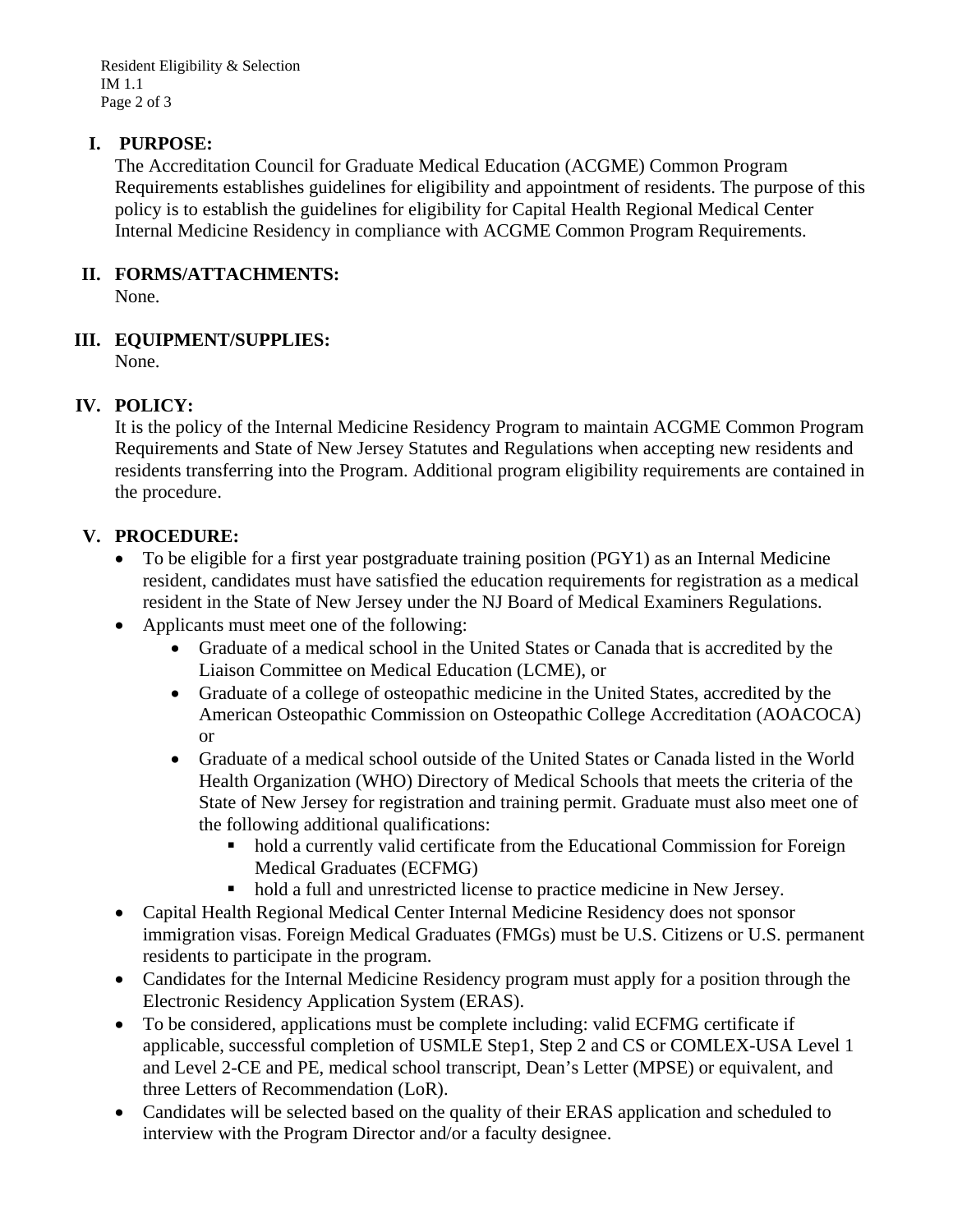Resident Eligibility & Selection IM 1.1 Page 2 of 3

#### **I. PURPOSE:**

The Accreditation Council for Graduate Medical Education (ACGME) Common Program Requirements establishes guidelines for eligibility and appointment of residents. The purpose of this policy is to establish the guidelines for eligibility for Capital Health Regional Medical Center Internal Medicine Residency in compliance with ACGME Common Program Requirements.

#### **II. FORMS/ATTACHMENTS:**

None.

### **III. EQUIPMENT/SUPPLIES:**

None.

## **IV. POLICY:**

It is the policy of the Internal Medicine Residency Program to maintain ACGME Common Program Requirements and State of New Jersey Statutes and Regulations when accepting new residents and residents transferring into the Program. Additional program eligibility requirements are contained in the procedure.

### **V. PROCEDURE:**

- To be eligible for a first year postgraduate training position (PGY1) as an Internal Medicine resident, candidates must have satisfied the education requirements for registration as a medical resident in the State of New Jersey under the NJ Board of Medical Examiners Regulations.
- Applicants must meet one of the following:
	- Graduate of a medical school in the United States or Canada that is accredited by the Liaison Committee on Medical Education (LCME), or
	- Graduate of a college of osteopathic medicine in the United States, accredited by the American Osteopathic Commission on Osteopathic College Accreditation (AOACOCA) or
	- Graduate of a medical school outside of the United States or Canada listed in the World Health Organization (WHO) Directory of Medical Schools that meets the criteria of the State of New Jersey for registration and training permit. Graduate must also meet one of the following additional qualifications:
		- hold a currently valid certificate from the Educational Commission for Foreign Medical Graduates (ECFMG)
		- hold a full and unrestricted license to practice medicine in New Jersey.
- Capital Health Regional Medical Center Internal Medicine Residency does not sponsor immigration visas. Foreign Medical Graduates (FMGs) must be U.S. Citizens or U.S. permanent residents to participate in the program.
- Candidates for the Internal Medicine Residency program must apply for a position through the Electronic Residency Application System (ERAS).
- To be considered, applications must be complete including: valid ECFMG certificate if applicable, successful completion of USMLE Step1, Step 2 and CS or COMLEX-USA Level 1 and Level 2-CE and PE, medical school transcript, Dean's Letter (MPSE) or equivalent, and three Letters of Recommendation (LoR).
- Candidates will be selected based on the quality of their ERAS application and scheduled to interview with the Program Director and/or a faculty designee.